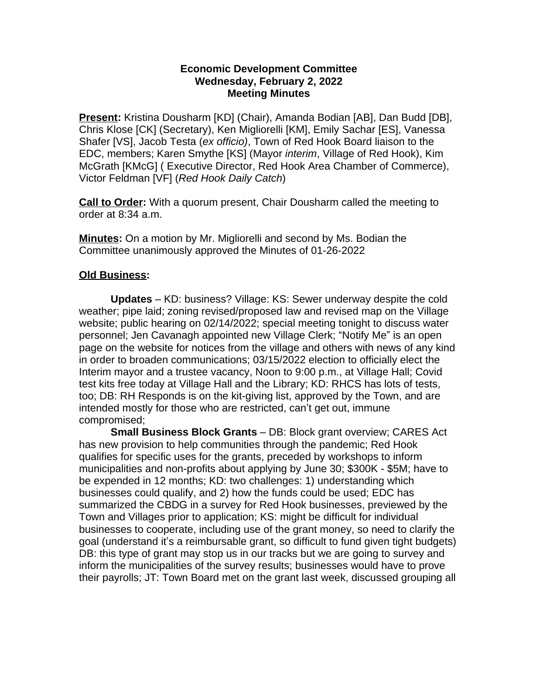## **Economic Development Committee Wednesday, February 2, 2022 Meeting Minutes**

**Present:** Kristina Dousharm [KD] (Chair), Amanda Bodian [AB], Dan Budd [DB], Chris Klose [CK] (Secretary), Ken Migliorelli [KM], Emily Sachar [ES], Vanessa Shafer [VS], Jacob Testa (*ex officio)*, Town of Red Hook Board liaison to the EDC, members; Karen Smythe [KS] (Mayor *interim*, Village of Red Hook), Kim McGrath [KMcG] ( Executive Director, Red Hook Area Chamber of Commerce), Victor Feldman [VF] (*Red Hook Daily Catch*)

**Call to Order:** With a quorum present, Chair Dousharm called the meeting to order at 8:34 a.m.

**Minutes:** On a motion by Mr. Migliorelli and second by Ms. Bodian the Committee unanimously approved the Minutes of 01-26-2022

## **Old Business:**

**Updates** – KD: business? Village: KS: Sewer underway despite the cold weather; pipe laid; zoning revised/proposed law and revised map on the Village website; public hearing on 02/14/2022; special meeting tonight to discuss water personnel; Jen Cavanagh appointed new Village Clerk; "Notify Me" is an open page on the website for notices from the village and others with news of any kind in order to broaden communications; 03/15/2022 election to officially elect the Interim mayor and a trustee vacancy, Noon to 9:00 p.m., at Village Hall; Covid test kits free today at Village Hall and the Library; KD: RHCS has lots of tests, too; DB: RH Responds is on the kit-giving list, approved by the Town, and are intended mostly for those who are restricted, can't get out, immune compromised;

**Small Business Block Grants** – DB: Block grant overview; CARES Act has new provision to help communities through the pandemic; Red Hook qualifies for specific uses for the grants, preceded by workshops to inform municipalities and non-profits about applying by June 30; \$300K - \$5M; have to be expended in 12 months; KD: two challenges: 1) understanding which businesses could qualify, and 2) how the funds could be used; EDC has summarized the CBDG in a survey for Red Hook businesses, previewed by the Town and Villages prior to application; KS: might be difficult for individual businesses to cooperate, including use of the grant money, so need to clarify the goal (understand it's a reimbursable grant, so difficult to fund given tight budgets) DB: this type of grant may stop us in our tracks but we are going to survey and inform the municipalities of the survey results; businesses would have to prove their payrolls; JT: Town Board met on the grant last week, discussed grouping all